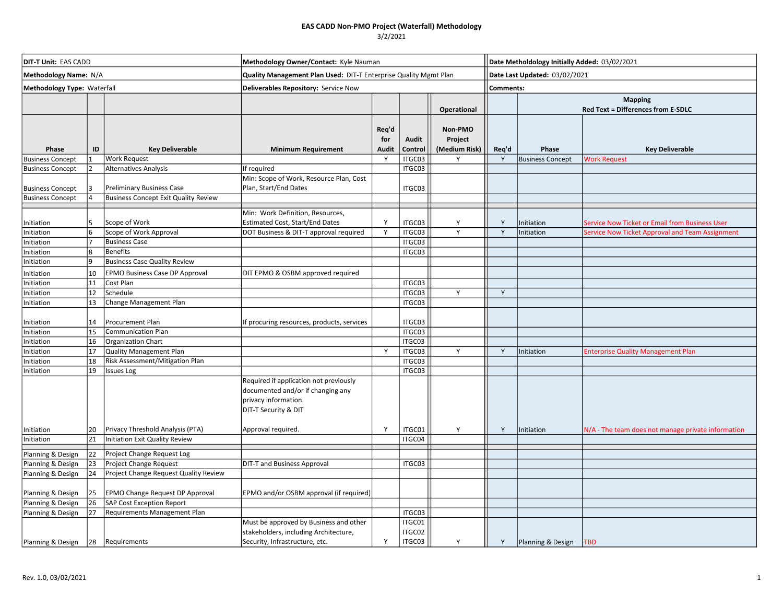## 3/2/2021

| DIT-T Unit: EAS CADD        |                |                                             | Methodology Owner/Contact: Kyle Nauman                                                                                      |                              |                            |                                     |                  | Date Metholdology Initially Added: 03/02/2021        |                                                                                                   |  |  |
|-----------------------------|----------------|---------------------------------------------|-----------------------------------------------------------------------------------------------------------------------------|------------------------------|----------------------------|-------------------------------------|------------------|------------------------------------------------------|---------------------------------------------------------------------------------------------------|--|--|
| Methodology Name: N/A       |                |                                             | Quality Management Plan Used: DIT-T Enterprise Quality Mgmt Plan                                                            |                              |                            |                                     |                  | Date Last Updated: 03/02/2021                        |                                                                                                   |  |  |
| Methodology Type: Waterfall |                |                                             | Deliverables Repository: Service Now                                                                                        |                              |                            |                                     | <b>Comments:</b> |                                                      |                                                                                                   |  |  |
|                             |                |                                             |                                                                                                                             |                              |                            | Operational                         |                  | <b>Mapping</b><br>Red Text = Differences from E-SDLC |                                                                                                   |  |  |
| Phase                       | ID             | <b>Key Deliverable</b>                      | <b>Minimum Requirement</b>                                                                                                  | Req'd<br>for<br><b>Audit</b> | Audit<br>Control           | Non-PMO<br>Project<br>(Medium Risk) | Req'd            | Phase                                                | <b>Key Deliverable</b>                                                                            |  |  |
| <b>Business Concept</b>     |                | <b>Work Request</b>                         |                                                                                                                             | Y                            | ITGC03                     | Y                                   | Y                | <b>Business Concept</b>                              | <b>Work Request</b>                                                                               |  |  |
| <b>Business Concept</b>     | $\mathfrak{p}$ | <b>Alternatives Analysis</b>                | If required                                                                                                                 |                              | ITGC03                     |                                     |                  |                                                      |                                                                                                   |  |  |
| <b>Business Concept</b>     |                | Preliminary Business Case                   | Min: Scope of Work, Resource Plan, Cost<br>Plan, Start/End Dates                                                            |                              | ITGC03                     |                                     |                  |                                                      |                                                                                                   |  |  |
| <b>Business Concept</b>     |                | <b>Business Concept Exit Quality Review</b> |                                                                                                                             |                              |                            |                                     |                  |                                                      |                                                                                                   |  |  |
|                             |                |                                             |                                                                                                                             |                              |                            |                                     |                  |                                                      |                                                                                                   |  |  |
|                             | 5              | Scope of Work                               | Min: Work Definition, Resources,                                                                                            | Y                            |                            |                                     |                  |                                                      |                                                                                                   |  |  |
| Initiation<br>Initiation    | 6              | Scope of Work Approval                      | Estimated Cost, Start/End Dates<br>DOT Business & DIT-T approval required                                                   | Y                            | ITGC03<br>ITGC03           | Υ<br>Y                              | Y<br>Y           | Initiation<br>Initiation                             | Service Now Ticket or Email from Business User<br>Service Now Ticket Approval and Team Assignment |  |  |
| Initiation                  |                | <b>Business Case</b>                        |                                                                                                                             |                              | ITGC03                     |                                     |                  |                                                      |                                                                                                   |  |  |
| Initiation                  | 8              | <b>Benefits</b>                             |                                                                                                                             |                              | ITGC03                     |                                     |                  |                                                      |                                                                                                   |  |  |
| Initiation                  | q              | <b>Business Case Quality Review</b>         |                                                                                                                             |                              |                            |                                     |                  |                                                      |                                                                                                   |  |  |
| Initiation                  | 10             | <b>EPMO Business Case DP Approval</b>       | DIT EPMO & OSBM approved required                                                                                           |                              |                            |                                     |                  |                                                      |                                                                                                   |  |  |
| Initiation                  | 11             | Cost Plan                                   |                                                                                                                             |                              | ITGC03                     |                                     |                  |                                                      |                                                                                                   |  |  |
| Initiation                  | 12             | Schedule                                    |                                                                                                                             |                              | ITGC03                     | Y                                   | Y                |                                                      |                                                                                                   |  |  |
| Initiation                  | 13             | Change Management Plan                      |                                                                                                                             |                              | ITGC03                     |                                     |                  |                                                      |                                                                                                   |  |  |
|                             |                |                                             |                                                                                                                             |                              |                            |                                     |                  |                                                      |                                                                                                   |  |  |
| Initiation                  | 14             | Procurement Plan                            | If procuring resources, products, services                                                                                  |                              | ITGC03                     |                                     |                  |                                                      |                                                                                                   |  |  |
| Initiation                  | 15             | <b>Communication Plan</b>                   |                                                                                                                             |                              | ITGC03                     |                                     |                  |                                                      |                                                                                                   |  |  |
| Initiation                  | 16             | Organization Chart                          |                                                                                                                             |                              | ITGC03                     |                                     |                  |                                                      |                                                                                                   |  |  |
| Initiation                  | 17             | Quality Management Plan                     |                                                                                                                             | Y                            | ITGC03                     | Y                                   | Y                | Initiation                                           | <b>Enterprise Quality Management Plan</b>                                                         |  |  |
| Initiation                  | 18<br>19       | Risk Assessment/Mitigation Plan             |                                                                                                                             |                              | ITGC03                     |                                     |                  |                                                      |                                                                                                   |  |  |
| Initiation                  |                | <b>Issues Log</b>                           | Required if application not previously<br>documented and/or if changing any<br>privacy information.<br>DIT-T Security & DIT |                              | ITGC03                     |                                     |                  |                                                      |                                                                                                   |  |  |
| Initiation                  | 20             | Privacy Threshold Analysis (PTA)            | Approval required.                                                                                                          | Y                            | ITGC01                     | Υ                                   | Y                | Initiation                                           | N/A - The team does not manage private information                                                |  |  |
| Initiation                  | 21             | Initiation Exit Quality Review              |                                                                                                                             |                              | ITGC04                     |                                     |                  |                                                      |                                                                                                   |  |  |
| Planning & Design           | 22             | Project Change Request Log                  |                                                                                                                             |                              |                            |                                     |                  |                                                      |                                                                                                   |  |  |
| Planning & Design           | 23             | Project Change Request                      | DIT-T and Business Approval                                                                                                 |                              | ITGC03                     |                                     |                  |                                                      |                                                                                                   |  |  |
| Planning & Design           | 24             | Project Change Request Quality Review       |                                                                                                                             |                              |                            |                                     |                  |                                                      |                                                                                                   |  |  |
| Planning & Design           | 25             | <b>EPMO Change Request DP Approval</b>      | EPMO and/or OSBM approval (if required)                                                                                     |                              |                            |                                     |                  |                                                      |                                                                                                   |  |  |
| Planning & Design           | 26             | <b>SAP Cost Exception Report</b>            |                                                                                                                             |                              |                            |                                     |                  |                                                      |                                                                                                   |  |  |
| Planning & Design           | 27             | Requirements Management Plan                |                                                                                                                             |                              | ITGC03                     |                                     |                  |                                                      |                                                                                                   |  |  |
| Planning & Design           | 28             | Requirements                                | Must be approved by Business and other<br>stakeholders, including Architecture,<br>Security, Infrastructure, etc.           | Y                            | ITGC01<br>ITGC02<br>ITGC03 | Y                                   | Y                | Planning & Design                                    | <b>TBD</b>                                                                                        |  |  |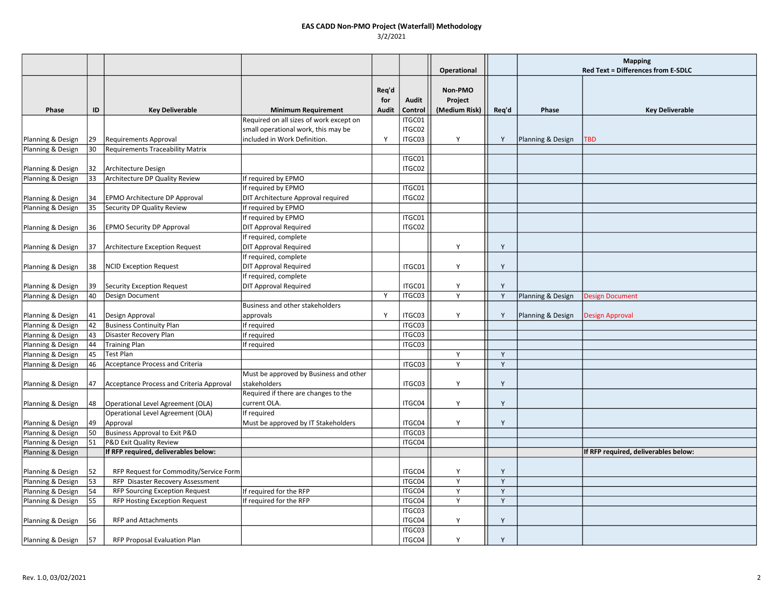|                   |    |                                          |                                         |       |                  |               |       | <b>Mapping</b>    |                                      |
|-------------------|----|------------------------------------------|-----------------------------------------|-------|------------------|---------------|-------|-------------------|--------------------------------------|
|                   |    |                                          |                                         |       |                  | Operational   |       |                   | Red Text = Differences from E-SDLC   |
|                   |    |                                          |                                         |       |                  |               |       |                   |                                      |
|                   |    |                                          |                                         | Req'd |                  | Non-PMO       |       |                   |                                      |
|                   |    |                                          |                                         | for   | Audit            | Project       |       |                   |                                      |
| Phase             | ID | <b>Key Deliverable</b>                   | <b>Minimum Requirement</b>              | Audit | Control          | (Medium Risk) | Req'd | Phase             | <b>Key Deliverable</b>               |
|                   |    |                                          | Required on all sizes of work except on |       | ITGC01           |               |       |                   |                                      |
|                   |    |                                          | small operational work, this may be     |       | ITGC02           |               |       |                   |                                      |
| Planning & Design | 29 | <b>Requirements Approval</b>             | included in Work Definition.            | Y     | ITGC03           | Y             | Y     | Planning & Design | TBD                                  |
| Planning & Design | 30 | <b>Requirements Traceability Matrix</b>  |                                         |       |                  |               |       |                   |                                      |
| Planning & Design | 32 | Architecture Design                      |                                         |       | ITGC01<br>ITGC02 |               |       |                   |                                      |
| Planning & Design | 33 | Architecture DP Quality Review           | If required by EPMO                     |       |                  |               |       |                   |                                      |
|                   |    |                                          | If required by EPMO                     |       | ITGC01           |               |       |                   |                                      |
| Planning & Design | 34 | EPMO Architecture DP Approval            | DIT Architecture Approval required      |       | ITGC02           |               |       |                   |                                      |
| Planning & Design | 35 | Security DP Quality Review               | If required by EPMO                     |       |                  |               |       |                   |                                      |
|                   |    |                                          | If required by EPMO                     |       | ITGC01           |               |       |                   |                                      |
| Planning & Design | 36 | <b>EPMO Security DP Approval</b>         | <b>DIT Approval Required</b>            |       | ITGC02           |               |       |                   |                                      |
|                   |    |                                          | If required, complete                   |       |                  |               |       |                   |                                      |
| Planning & Design | 37 | <b>Architecture Exception Request</b>    | <b>DIT Approval Required</b>            |       |                  | Υ             | Y     |                   |                                      |
|                   |    |                                          | If required, complete                   |       |                  |               |       |                   |                                      |
| Planning & Design | 38 | <b>NCID Exception Request</b>            | <b>DIT Approval Required</b>            |       | ITGC01           | Y             | Y     |                   |                                      |
|                   |    |                                          | If required, complete                   |       |                  |               |       |                   |                                      |
| Planning & Design | 39 | <b>Security Exception Request</b>        | <b>DIT Approval Required</b>            |       | ITGC01           | Y             | Y     |                   |                                      |
| Planning & Design | 40 | Design Document                          |                                         | Y     | ITGC03           | Y             | Y     | Planning & Design | <b>Design Document</b>               |
|                   |    |                                          | Business and other stakeholders         |       |                  |               |       |                   |                                      |
| Planning & Design | 41 | Design Approval                          | approvals                               | Y     | ITGC03           | Y             | Y     | Planning & Design | Design Approval                      |
| Planning & Design | 42 | <b>Business Continuity Plan</b>          | If required                             |       | ITGC03           |               |       |                   |                                      |
| Planning & Design | 43 | Disaster Recovery Plan                   | If required                             |       | ITGC03           |               |       |                   |                                      |
| Planning & Design | 44 | <b>Training Plan</b>                     | If required                             |       | ITGC03           |               |       |                   |                                      |
| Planning & Design | 45 | Test Plan                                |                                         |       |                  | Y             | Y     |                   |                                      |
| Planning & Design | 46 | Acceptance Process and Criteria          |                                         |       | ITGC03           | Y             | Y     |                   |                                      |
|                   |    |                                          | Must be approved by Business and other  |       |                  |               |       |                   |                                      |
| Planning & Design | 47 | Acceptance Process and Criteria Approval | stakeholders                            |       | ITGC03           | Υ             | Y     |                   |                                      |
|                   |    |                                          | Required if there are changes to the    |       |                  |               |       |                   |                                      |
| Planning & Design | 48 | Operational Level Agreement (OLA)        | current OLA.                            |       | ITGC04           | Υ             | Y     |                   |                                      |
|                   |    | Operational Level Agreement (OLA)        | If required                             |       |                  |               |       |                   |                                      |
| Planning & Design | 49 | Approval                                 | Must be approved by IT Stakeholders     |       | ITGC04           | Υ             | Y     |                   |                                      |
| Planning & Design | 50 | Business Approval to Exit P&D            |                                         |       | ITGC03           |               |       |                   |                                      |
| Planning & Design | 51 | P&D Exit Quality Review                  |                                         |       | ITGC04           |               |       |                   |                                      |
| Planning & Design |    | If RFP required, deliverables below:     |                                         |       |                  |               |       |                   | If RFP required, deliverables below: |
|                   |    |                                          |                                         |       |                  |               |       |                   |                                      |
| Planning & Design | 52 | RFP Request for Commodity/Service Form   |                                         |       | ITGC04           | Y             | Y     |                   |                                      |
| Planning & Design | 53 | RFP Disaster Recovery Assessment         |                                         |       | ITGC04           | Y             | Y     |                   |                                      |
| Planning & Design | 54 | <b>RFP Sourcing Exception Request</b>    | If required for the RFP                 |       | ITGC04           | Y             | Y     |                   |                                      |
| Planning & Design | 55 | <b>RFP Hosting Exception Request</b>     | If required for the RFP                 |       | ITGC04           | Y             | Y     |                   |                                      |
|                   |    |                                          |                                         |       | ITGC03           |               |       |                   |                                      |
| Planning & Design | 56 | <b>RFP and Attachments</b>               |                                         |       | ITGC04           | Y             | Υ     |                   |                                      |
|                   |    |                                          |                                         |       | ITGC03           |               |       |                   |                                      |
| Planning & Design | 57 | <b>RFP Proposal Evaluation Plan</b>      |                                         |       | ITGC04           | Y             | Y     |                   |                                      |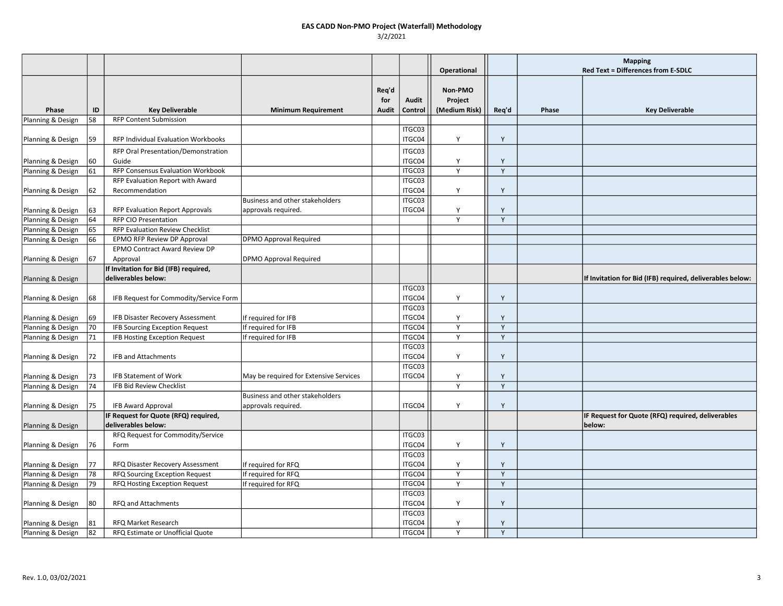|                   |          |                                        |                                        |       |                  |               |        | <b>Mapping</b> |                                                           |
|-------------------|----------|----------------------------------------|----------------------------------------|-------|------------------|---------------|--------|----------------|-----------------------------------------------------------|
|                   |          |                                        |                                        |       |                  | Operational   |        |                | Red Text = Differences from E-SDLC                        |
|                   |          |                                        |                                        | Req'd |                  | Non-PMO       |        |                |                                                           |
|                   |          |                                        |                                        | for   | <b>Audit</b>     | Project       |        |                |                                                           |
| Phase             | ID       | <b>Key Deliverable</b>                 | <b>Minimum Requirement</b>             | Audit | Control          | (Medium Risk) | Req'd  | Phase          | <b>Key Deliverable</b>                                    |
| Planning & Design | 58       | <b>RFP Content Submission</b>          |                                        |       |                  |               |        |                |                                                           |
|                   |          |                                        |                                        |       | ITGC03           |               |        |                |                                                           |
| Planning & Design | 59       | RFP Individual Evaluation Workbooks    |                                        |       | ITGC04           | Y             | Y      |                |                                                           |
|                   |          | RFP Oral Presentation/Demonstration    |                                        |       | ITGC03           |               |        |                |                                                           |
| Planning & Design | 60       | Guide                                  |                                        |       | ITGC04           | Υ             | Y      |                |                                                           |
| Planning & Design | 61       | RFP Consensus Evaluation Workbook      |                                        |       | ITGC03           | Y             | Y      |                |                                                           |
|                   |          | RFP Evaluation Report with Award       |                                        |       | ITGC03           |               |        |                |                                                           |
| Planning & Design | 62       | Recommendation                         |                                        |       | ITGC04           | Y             | Y      |                |                                                           |
|                   |          |                                        | Business and other stakeholders        |       | ITGC03           |               |        |                |                                                           |
| Planning & Design | 63       | <b>RFP Evaluation Report Approvals</b> | approvals required.                    |       | ITGC04           | Y             | Y      |                |                                                           |
| Planning & Design | 64       | <b>RFP CIO Presentation</b>            |                                        |       |                  | Y             | Y      |                |                                                           |
| Planning & Design | 65       | RFP Evaluation Review Checklist        |                                        |       |                  |               |        |                |                                                           |
| Planning & Design | 66       | EPMO RFP Review DP Approval            | <b>DPMO Approval Required</b>          |       |                  |               |        |                |                                                           |
|                   |          | EPMO Contract Award Review DP          |                                        |       |                  |               |        |                |                                                           |
| Planning & Design | 67       | Approval                               | <b>DPMO Approval Required</b>          |       |                  |               |        |                |                                                           |
|                   |          | If Invitation for Bid (IFB) required,  |                                        |       |                  |               |        |                |                                                           |
| Planning & Design |          | deliverables below:                    |                                        |       |                  |               |        |                | If Invitation for Bid (IFB) required, deliverables below: |
|                   |          |                                        |                                        |       | ITGC03           |               |        |                |                                                           |
| Planning & Design | 68       | IFB Request for Commodity/Service Form |                                        |       | ITGC04           | Y             | Y      |                |                                                           |
|                   |          |                                        |                                        |       | ITGC03           |               |        |                |                                                           |
| Planning & Design | 69       | IFB Disaster Recovery Assessment       | If required for IFB                    |       | ITGC04           | Y             | Y      |                |                                                           |
| Planning & Design | 70<br>71 | <b>IFB Sourcing Exception Request</b>  | If required for IFB                    |       | ITGC04<br>ITGC04 | Y<br>Y        | Y<br>Y |                |                                                           |
| Planning & Design |          | IFB Hosting Exception Request          | If required for IFB                    |       | ITGC03           |               |        |                |                                                           |
|                   | 72       | IFB and Attachments                    |                                        |       | ITGC04           | Υ             | Y      |                |                                                           |
| Planning & Design |          |                                        |                                        |       | ITGC03           |               |        |                |                                                           |
| Planning & Design | 73       | <b>IFB Statement of Work</b>           | May be required for Extensive Services |       | ITGC04           | Υ             | Y      |                |                                                           |
| Planning & Design | 74       | <b>IFB Bid Review Checklist</b>        |                                        |       |                  | Y             | Y      |                |                                                           |
|                   |          |                                        | Business and other stakeholders        |       |                  |               |        |                |                                                           |
| Planning & Design | 75       | <b>IFB Award Approval</b>              | approvals required.                    |       | ITGC04           | Y             | Y      |                |                                                           |
|                   |          | IF Request for Quote (RFQ) required,   |                                        |       |                  |               |        |                | IF Request for Quote (RFQ) required, deliverables         |
| Planning & Design |          | deliverables below:                    |                                        |       |                  |               |        |                | below:                                                    |
|                   |          | RFQ Request for Commodity/Service      |                                        |       | ITGC03           |               |        |                |                                                           |
| Planning & Design | 76       | Form                                   |                                        |       | ITGC04           | Υ             | Y      |                |                                                           |
|                   |          |                                        |                                        |       | ITGC03           |               |        |                |                                                           |
| Planning & Design | 77       | RFQ Disaster Recovery Assessment       | If required for RFQ                    |       | ITGC04           | Y             | Y      |                |                                                           |
| Planning & Design | 78       | RFQ Sourcing Exception Request         | If required for RFQ                    |       | ITGC04           | Y             | Y      |                |                                                           |
| Planning & Design | 79       | RFQ Hosting Exception Request          | If required for RFQ                    |       | ITGC04           | Y             | Y      |                |                                                           |
|                   |          |                                        |                                        |       | ITGC03           |               |        |                |                                                           |
| Planning & Design | 80       | RFQ and Attachments                    |                                        |       | ITGC04           | Υ             | Y      |                |                                                           |
|                   |          |                                        |                                        |       | ITGC03           |               |        |                |                                                           |
| Planning & Design | 81       | <b>RFQ Market Research</b>             |                                        |       | ITGC04           | Y             | Y      |                |                                                           |
| Planning & Design | 82       | RFQ Estimate or Unofficial Quote       |                                        |       | ITGC04           | Y             | Y      |                |                                                           |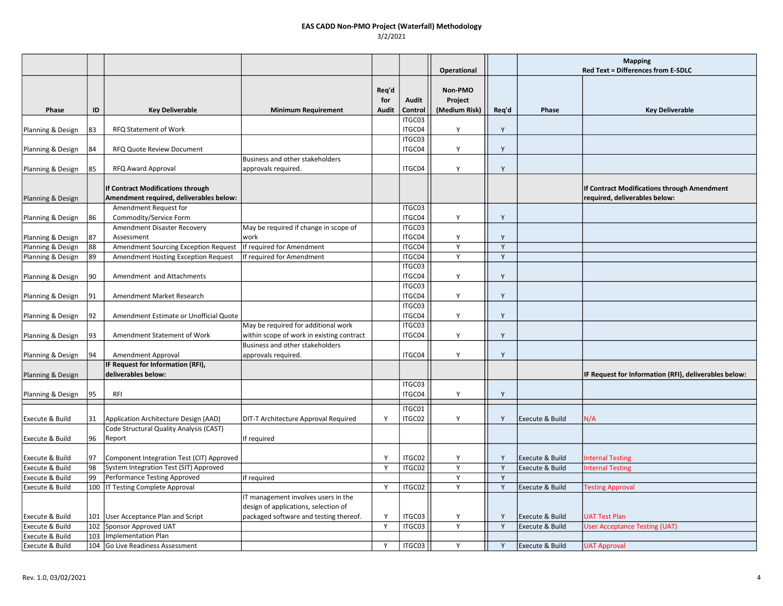|                                        |          |                                                    |                                                                             |              |                  |                    |        | <b>Mapping</b>  |                                                       |
|----------------------------------------|----------|----------------------------------------------------|-----------------------------------------------------------------------------|--------------|------------------|--------------------|--------|-----------------|-------------------------------------------------------|
|                                        |          |                                                    |                                                                             |              |                  | Operational        |        |                 | Red Text = Differences from E-SDLC                    |
|                                        |          |                                                    |                                                                             |              |                  |                    |        |                 |                                                       |
|                                        |          |                                                    |                                                                             | Req'd<br>for | Audit            | Non-PMO<br>Project |        |                 |                                                       |
| Phase                                  | ID       | <b>Key Deliverable</b>                             | <b>Minimum Requirement</b>                                                  | Audit        | Control          | (Medium Risk)      | Req'd  | Phase           | <b>Key Deliverable</b>                                |
|                                        |          |                                                    |                                                                             |              | ITGC03           |                    |        |                 |                                                       |
| Planning & Design                      | 83       | RFQ Statement of Work                              |                                                                             |              | ITGC04           | Υ                  | Y      |                 |                                                       |
|                                        |          |                                                    |                                                                             |              | ITGC03           |                    |        |                 |                                                       |
| Planning & Design                      | 84       | RFQ Quote Review Document                          |                                                                             |              | ITGC04           | Υ                  | Y      |                 |                                                       |
|                                        |          |                                                    | Business and other stakeholders                                             |              |                  |                    |        |                 |                                                       |
| Planning & Design                      | 85       | RFQ Award Approval                                 | approvals required.                                                         |              | ITGC04           | Y                  | Y      |                 |                                                       |
|                                        |          |                                                    |                                                                             |              |                  |                    |        |                 |                                                       |
|                                        |          | If Contract Modifications through                  |                                                                             |              |                  |                    |        |                 | If Contract Modifications through Amendment           |
| Planning & Design                      |          | Amendment required, deliverables below:            |                                                                             |              |                  |                    |        |                 | required, deliverables below:                         |
|                                        |          | Amendment Request for                              |                                                                             |              | ITGC03           |                    |        |                 |                                                       |
| Planning & Design                      | 86       | Commodity/Service Form                             |                                                                             |              | ITGC04           | Y                  | Y      |                 |                                                       |
|                                        |          | Amendment Disaster Recovery                        | May be required if change in scope of<br>work                               |              | ITGC03<br>ITGC04 |                    |        |                 |                                                       |
| Planning & Design<br>Planning & Design | 87<br>88 | Assessment<br>Amendment Sourcing Exception Request | If required for Amendment                                                   |              | ITGC04           | Υ<br>Y             | Y<br>Y |                 |                                                       |
| Planning & Design                      | 89       | <b>Amendment Hosting Exception Request</b>         | If required for Amendment                                                   |              | ITGC04           | Y                  | Y      |                 |                                                       |
|                                        |          |                                                    |                                                                             |              | ITGC03           |                    |        |                 |                                                       |
| Planning & Design                      | 90       | Amendment and Attachments                          |                                                                             |              | ITGC04           | Υ                  | Y      |                 |                                                       |
|                                        |          |                                                    |                                                                             |              | ITGC03           |                    |        |                 |                                                       |
| Planning & Design                      | 91       | Amendment Market Research                          |                                                                             |              | ITGC04           | Y                  | Y      |                 |                                                       |
|                                        |          |                                                    |                                                                             |              | ITGC03           |                    |        |                 |                                                       |
| Planning & Design                      | 92       | Amendment Estimate or Unofficial Quote             |                                                                             |              | ITGC04           | Y                  | Y      |                 |                                                       |
|                                        |          |                                                    | May be required for additional work                                         |              | ITGC03           |                    |        |                 |                                                       |
| Planning & Design                      | 93       | Amendment Statement of Work                        | within scope of work in existing contract                                   |              | ITGC04           | Υ                  | Y      |                 |                                                       |
|                                        |          |                                                    | Business and other stakeholders                                             |              |                  |                    |        |                 |                                                       |
| Planning & Design                      | 94       | Amendment Approval                                 | approvals required.                                                         |              | ITGC04           | Y                  | Y      |                 |                                                       |
|                                        |          | IF Request for Information (RFI),                  |                                                                             |              |                  |                    |        |                 |                                                       |
| Planning & Design                      |          | deliverables below:                                |                                                                             |              |                  |                    |        |                 | IF Request for Information (RFI), deliverables below: |
|                                        |          |                                                    |                                                                             |              | ITGC03           |                    |        |                 |                                                       |
| Planning & Design                      | 95       | RFI                                                |                                                                             |              | ITGC04           | Y                  | Y      |                 |                                                       |
|                                        |          |                                                    |                                                                             |              | ITGC01           |                    |        |                 |                                                       |
| Execute & Build                        | 31       | Application Architecture Design (AAD)              | DIT-T Architecture Approval Required                                        | Y            | ITGC02           | Y                  | Y      | Execute & Build | N/A                                                   |
|                                        |          | Code Structural Quality Analysis (CAST)            |                                                                             |              |                  |                    |        |                 |                                                       |
| Execute & Build                        | 96       | Report                                             | If required                                                                 |              |                  |                    |        |                 |                                                       |
|                                        |          |                                                    |                                                                             |              |                  |                    |        |                 |                                                       |
| Execute & Build                        | 97       | Component Integration Test (CIT) Approved          |                                                                             | Y            | ITGC02           | Υ                  | Y      | Execute & Build | <b>Internal Testing</b>                               |
| Execute & Build                        | 98       | System Integration Test (SIT) Approved             |                                                                             | Y            | ITGC02           | Y                  | Y      | Execute & Build | <b>Internal Testing</b>                               |
| Execute & Build                        | 99       | Performance Testing Approved                       | If required                                                                 |              |                  | Y                  | Y      |                 |                                                       |
| Execute & Build                        | 100      | IT Testing Complete Approval                       |                                                                             | Y            | ITGC02           | Y                  | Y      | Execute & Build | <b>Testing Approval</b>                               |
|                                        |          |                                                    | IT management involves users in the<br>design of applications, selection of |              |                  |                    |        |                 |                                                       |
| Execute & Build                        |          | 101   User Acceptance Plan and Script              | packaged software and testing thereof.                                      | Y            | ITGC03           | Y                  | Y      | Execute & Build | <b>UAT Test Plan</b>                                  |
| Execute & Build                        | 102      | Sponsor Approved UAT                               |                                                                             | Y            | ITGC03           | Y                  | Y      | Execute & Build | <b>User Acceptance Testing (UAT)</b>                  |
| Execute & Build                        | 103      | Implementation Plan                                |                                                                             |              |                  |                    |        |                 |                                                       |
| Execute & Build                        |          | 104 Go Live Readiness Assessment                   |                                                                             | Y            | ITGC03           | Y                  | Y      | Execute & Build | <b>UAT Approval</b>                                   |